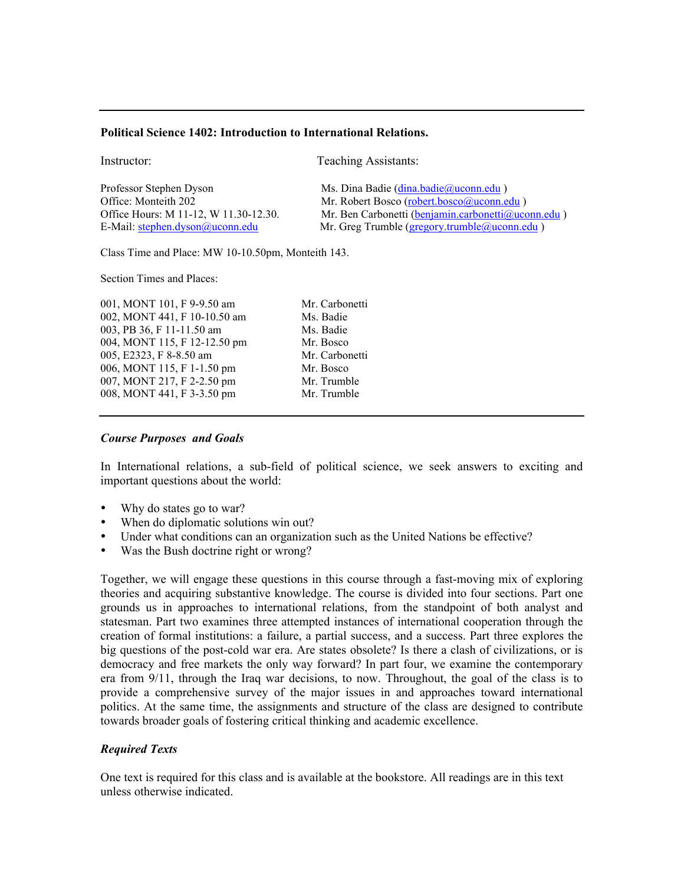#### **Political Science 1402: Introduction to International Relations.**

Instructor: Teaching Assistants:

| Professor Stephen Dyson               | Ms. Dina Badie (dina.badie@uconn.edu)              |
|---------------------------------------|----------------------------------------------------|
| Office: Monteith 202                  | Mr. Robert Bosco (robert.bosco@uconn.edu)          |
| Office Hours: M 11-12, W 11.30-12.30. | Mr. Ben Carbonetti (benjamin.carbonetti@uconn.edu) |
| E-Mail: stephen.dyson@uconn.edu       | Mr. Greg Trumble (gregory.trumble@uconn.edu)       |

Class Time and Place: MW 10-10.50pm, Monteith 143.

Section Times and Places:

001, MONT 101, F 9-9.50 am Mr. Carbonetti 002, MONT 441, F 10-10.50 am Ms. Badie 003, PB 36, F 11-11.50 am Ms. Badie 004, MONT 115, F 12-12.50 pm Mr. Bosco 005, E2323, F 8-8.50 am Mr. Carbonetti 006, MONT 115, F 1-1.50 pm Mr. Bosco 007, MONT 217, F 2-2.50 pm Mr. Trumble 008, MONT 441, F 3-3.50 pm Mr. Trumble

#### *Course Purposes and Goals*

In International relations, a sub-field of political science, we seek answers to exciting and important questions about the world:

- Why do states go to war?
- When do diplomatic solutions win out?
- Under what conditions can an organization such as the United Nations be effective?
- Was the Bush doctrine right or wrong?

Together, we will engage these questions in this course through a fast-moving mix of exploring theories and acquiring substantive knowledge. The course is divided into four sections. Part one grounds us in approaches to international relations, from the standpoint of both analyst and statesman. Part two examines three attempted instances of international cooperation through the creation of formal institutions: a failure, a partial success, and a success. Part three explores the big questions of the post-cold war era. Are states obsolete? Is there a clash of civilizations, or is democracy and free markets the only way forward? In part four, we examine the contemporary era from 9/11, through the Iraq war decisions, to now. Throughout, the goal of the class is to provide a comprehensive survey of the major issues in and approaches toward international politics. At the same time, the assignments and structure of the class are designed to contribute towards broader goals of fostering critical thinking and academic excellence.

### *Required Texts*

One text is required for this class and is available at the bookstore. All readings are in this text unless otherwise indicated.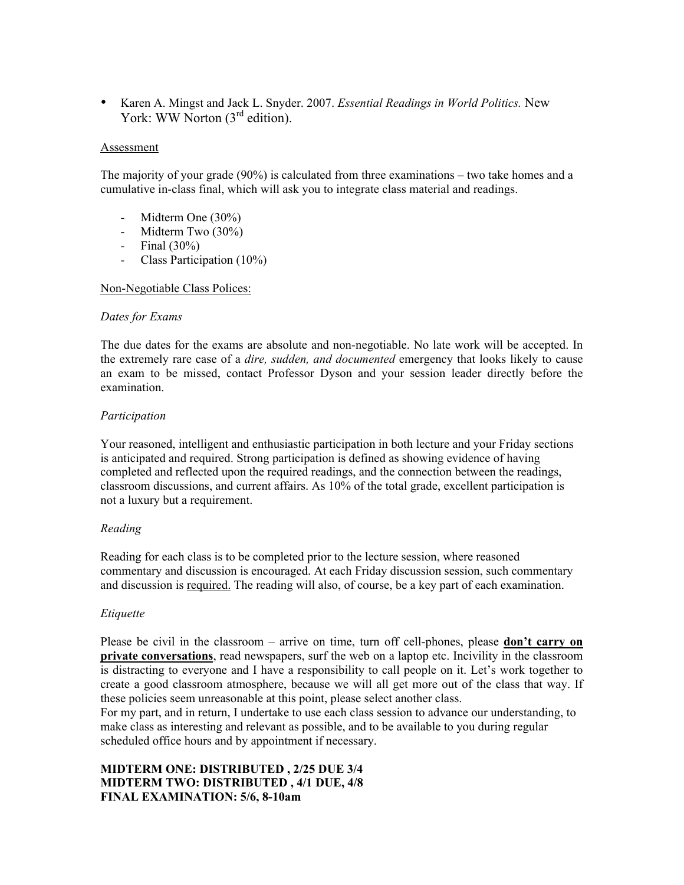• Karen A. Mingst and Jack L. Snyder. 2007. *Essential Readings in World Politics.* New York: WW Norton (3<sup>rd</sup> edition).

#### **Assessment**

The majority of your grade (90%) is calculated from three examinations – two take homes and a cumulative in-class final, which will ask you to integrate class material and readings.

- Midterm One (30%)
- Midterm Two (30%)
- Final  $(30\%)$
- Class Participation (10%)

### Non-Negotiable Class Polices:

#### *Dates for Exams*

The due dates for the exams are absolute and non-negotiable. No late work will be accepted. In the extremely rare case of a *dire, sudden, and documented* emergency that looks likely to cause an exam to be missed, contact Professor Dyson and your session leader directly before the examination.

### *Participation*

Your reasoned, intelligent and enthusiastic participation in both lecture and your Friday sections is anticipated and required. Strong participation is defined as showing evidence of having completed and reflected upon the required readings, and the connection between the readings, classroom discussions, and current affairs. As 10% of the total grade, excellent participation is not a luxury but a requirement.

### *Reading*

Reading for each class is to be completed prior to the lecture session, where reasoned commentary and discussion is encouraged. At each Friday discussion session, such commentary and discussion is required. The reading will also, of course, be a key part of each examination.

### *Etiquette*

Please be civil in the classroom – arrive on time, turn off cell-phones, please **don't carry on private conversations**, read newspapers, surf the web on a laptop etc. Incivility in the classroom is distracting to everyone and I have a responsibility to call people on it. Let's work together to create a good classroom atmosphere, because we will all get more out of the class that way. If these policies seem unreasonable at this point, please select another class.

For my part, and in return, I undertake to use each class session to advance our understanding, to make class as interesting and relevant as possible, and to be available to you during regular scheduled office hours and by appointment if necessary.

# **MIDTERM ONE: DISTRIBUTED , 2/25 DUE 3/4 MIDTERM TWO: DISTRIBUTED , 4/1 DUE, 4/8 FINAL EXAMINATION: 5/6, 8-10am**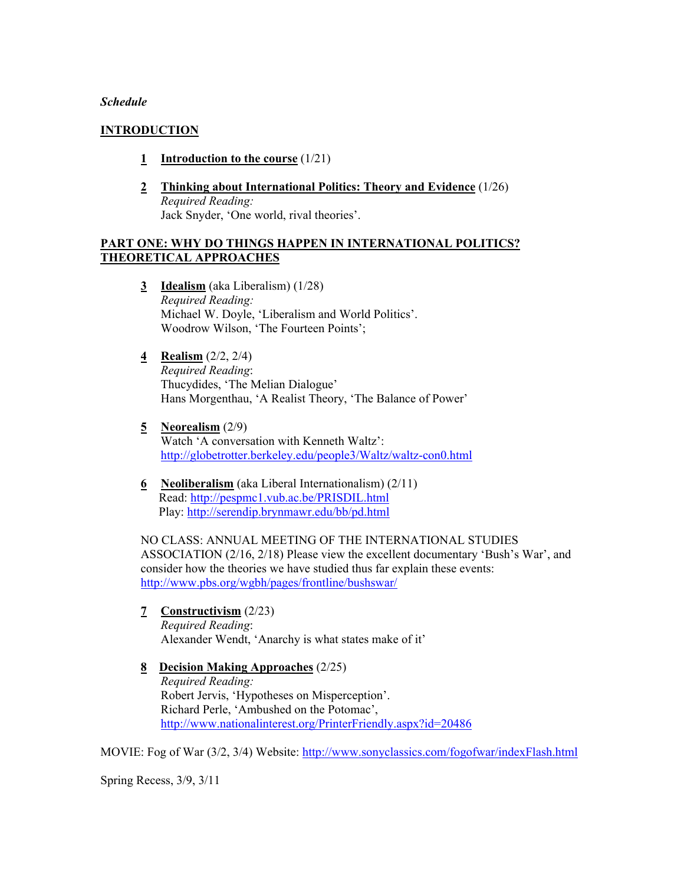#### *Schedule*

#### **INTRODUCTION**

- **1 Introduction to the course** (1/21)
- **2 Thinking about International Politics: Theory and Evidence** (1/26) *Required Reading:* Jack Snyder, 'One world, rival theories'.

#### **PART ONE: WHY DO THINGS HAPPEN IN INTERNATIONAL POLITICS? THEORETICAL APPROACHES**

- **3 Idealism** (aka Liberalism) (1/28) *Required Reading:* Michael W. Doyle, 'Liberalism and World Politics'. Woodrow Wilson, 'The Fourteen Points';
- **4 Realism** (2/2, 2/4) *Required Reading*: Thucydides, 'The Melian Dialogue' Hans Morgenthau, 'A Realist Theory, 'The Balance of Power'
- **5 Neorealism** (2/9) Watch 'A conversation with Kenneth Waltz': http://globetrotter.berkeley.edu/people3/Waltz/waltz-con0.html
- **6 Neoliberalism** (aka Liberal Internationalism) (2/11) Read: http://pespmc1.vub.ac.be/PRISDIL.html Play: http://serendip.brynmawr.edu/bb/pd.html

NO CLASS: ANNUAL MEETING OF THE INTERNATIONAL STUDIES ASSOCIATION (2/16, 2/18) Please view the excellent documentary 'Bush's War', and consider how the theories we have studied thus far explain these events: http://www.pbs.org/wgbh/pages/frontline/bushswar/

- **7 Constructivism** (2/23) *Required Reading*: Alexander Wendt, 'Anarchy is what states make of it'
- **8 Decision Making Approaches** (2/25) *Required Reading:*  Robert Jervis, 'Hypotheses on Misperception'. Richard Perle, 'Ambushed on the Potomac', http://www.nationalinterest.org/PrinterFriendly.aspx?id=20486

MOVIE: Fog of War (3/2, 3/4) Website: http://www.sonyclassics.com/fogofwar/indexFlash.html

Spring Recess, 3/9, 3/11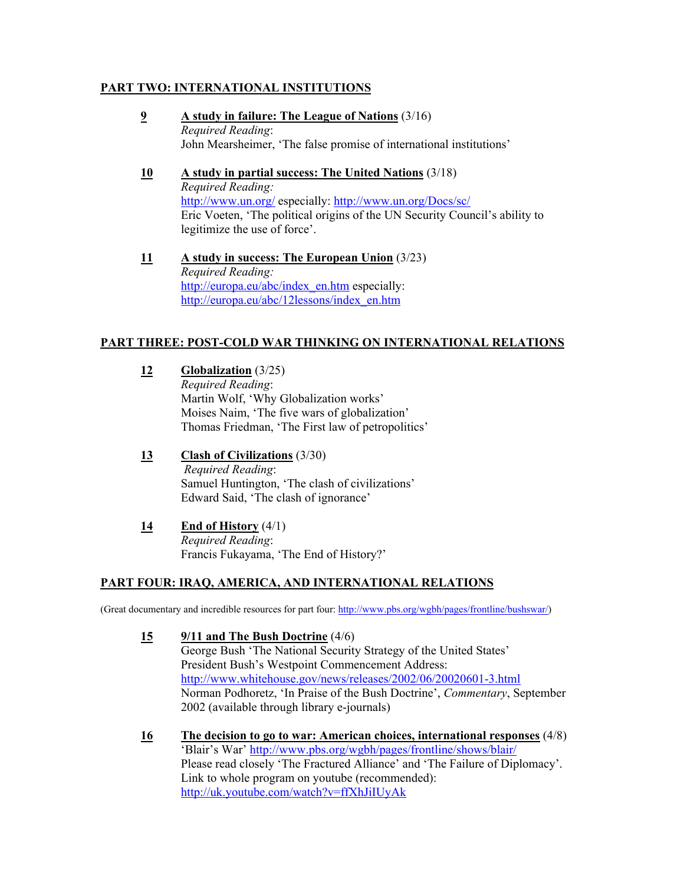## **PART TWO: INTERNATIONAL INSTITUTIONS**

- **9 A study in failure: The League of Nations** (3/16) *Required Reading*: John Mearsheimer, 'The false promise of international institutions'
- **10 A study in partial success: The United Nations** (3/18) *Required Reading:* http://www.un.org/ especially: http://www.un.org/Docs/sc/ Eric Voeten, 'The political origins of the UN Security Council's ability to legitimize the use of force'.
- **11 A study in success: The European Union** (3/23) *Required Reading:* http://europa.eu/abc/index\_en.htm especially: http://europa.eu/abc/12lessons/index\_en.htm

# **PART THREE: POST-COLD WAR THINKING ON INTERNATIONAL RELATIONS**

**12 Globalization** (3/25) *Required Reading*: Martin Wolf, 'Why Globalization works' Moises Naim, 'The five wars of globalization' Thomas Friedman, 'The First law of petropolitics'

- **13 Clash of Civilizations** (3/30) *Required Reading*: Samuel Huntington, 'The clash of civilizations' Edward Said, 'The clash of ignorance'
- **14 End of History** (4/1) *Required Reading*: Francis Fukayama, 'The End of History?'

# **PART FOUR: IRAQ, AMERICA, AND INTERNATIONAL RELATIONS**

(Great documentary and incredible resources for part four: http://www.pbs.org/wgbh/pages/frontline/bushswar/)

- **15 9/11 and The Bush Doctrine** (4/6) George Bush 'The National Security Strategy of the United States' President Bush's Westpoint Commencement Address: http://www.whitehouse.gov/news/releases/2002/06/20020601-3.html Norman Podhoretz, 'In Praise of the Bush Doctrine', *Commentary*, September 2002 (available through library e-journals)
- **16 The decision to go to war: American choices, international responses** (4/8) 'Blair's War' http://www.pbs.org/wgbh/pages/frontline/shows/blair/ Please read closely 'The Fractured Alliance' and 'The Failure of Diplomacy'. Link to whole program on youtube (recommended): http://uk.youtube.com/watch?v=ffXhJiIUyAk